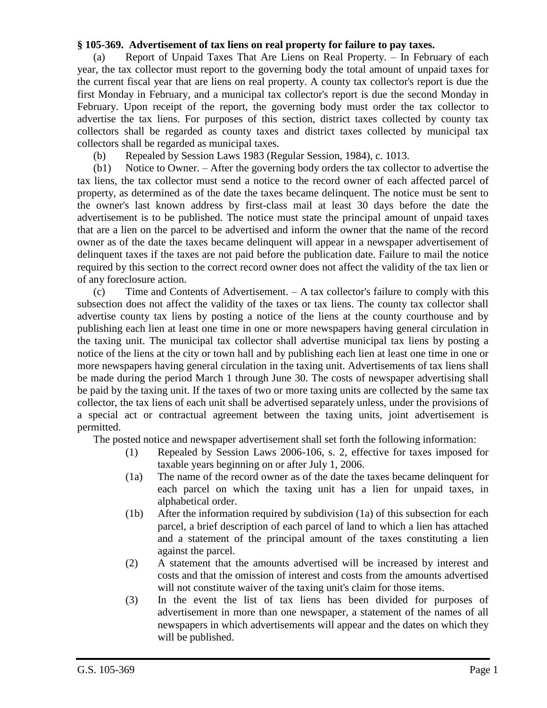## **§ 105-369. Advertisement of tax liens on real property for failure to pay taxes.**

(a) Report of Unpaid Taxes That Are Liens on Real Property. – In February of each year, the tax collector must report to the governing body the total amount of unpaid taxes for the current fiscal year that are liens on real property. A county tax collector's report is due the first Monday in February, and a municipal tax collector's report is due the second Monday in February. Upon receipt of the report, the governing body must order the tax collector to advertise the tax liens. For purposes of this section, district taxes collected by county tax collectors shall be regarded as county taxes and district taxes collected by municipal tax collectors shall be regarded as municipal taxes.

(b) Repealed by Session Laws 1983 (Regular Session, 1984), c. 1013.

(b1) Notice to Owner. – After the governing body orders the tax collector to advertise the tax liens, the tax collector must send a notice to the record owner of each affected parcel of property, as determined as of the date the taxes became delinquent. The notice must be sent to the owner's last known address by first-class mail at least 30 days before the date the advertisement is to be published. The notice must state the principal amount of unpaid taxes that are a lien on the parcel to be advertised and inform the owner that the name of the record owner as of the date the taxes became delinquent will appear in a newspaper advertisement of delinquent taxes if the taxes are not paid before the publication date. Failure to mail the notice required by this section to the correct record owner does not affect the validity of the tax lien or of any foreclosure action.

(c) Time and Contents of Advertisement. – A tax collector's failure to comply with this subsection does not affect the validity of the taxes or tax liens. The county tax collector shall advertise county tax liens by posting a notice of the liens at the county courthouse and by publishing each lien at least one time in one or more newspapers having general circulation in the taxing unit. The municipal tax collector shall advertise municipal tax liens by posting a notice of the liens at the city or town hall and by publishing each lien at least one time in one or more newspapers having general circulation in the taxing unit. Advertisements of tax liens shall be made during the period March 1 through June 30. The costs of newspaper advertising shall be paid by the taxing unit. If the taxes of two or more taxing units are collected by the same tax collector, the tax liens of each unit shall be advertised separately unless, under the provisions of a special act or contractual agreement between the taxing units, joint advertisement is permitted.

The posted notice and newspaper advertisement shall set forth the following information:

- (1) Repealed by Session Laws 2006-106, s. 2, effective for taxes imposed for taxable years beginning on or after July 1, 2006.
- (1a) The name of the record owner as of the date the taxes became delinquent for each parcel on which the taxing unit has a lien for unpaid taxes, in alphabetical order.
- (1b) After the information required by subdivision (1a) of this subsection for each parcel, a brief description of each parcel of land to which a lien has attached and a statement of the principal amount of the taxes constituting a lien against the parcel.
- (2) A statement that the amounts advertised will be increased by interest and costs and that the omission of interest and costs from the amounts advertised will not constitute waiver of the taxing unit's claim for those items.
- (3) In the event the list of tax liens has been divided for purposes of advertisement in more than one newspaper, a statement of the names of all newspapers in which advertisements will appear and the dates on which they will be published.